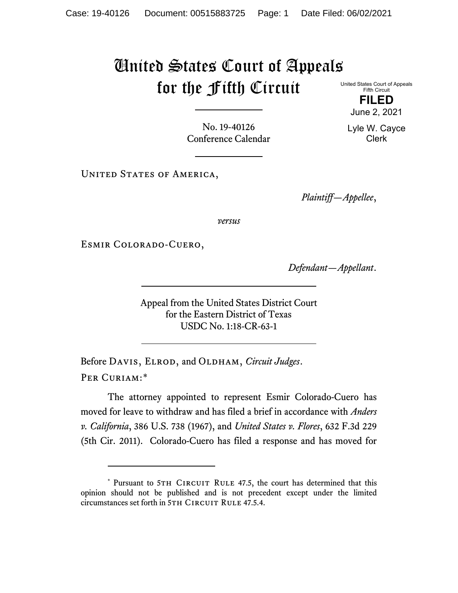## United States Court of Appeals for the Fifth Circuit

United States Court of Appeals Fifth Circuit

> **FILED** June 2, 2021

Lyle W. Cayce Clerk

No. 19-40126 Conference Calendar

UNITED STATES OF AMERICA,

*Plaintiff—Appellee*,

*versus*

Esmir Colorado-Cuero,

*Defendant—Appellant*.

Appeal from the United States District Court for the Eastern District of Texas USDC No. 1:18-CR-63-1

Before DAVIS, ELROD, and OLDHAM, *Circuit Judges*. Per Curiam:[\\*](#page-0-0)

The attorney appointed to represent Esmir Colorado-Cuero has moved for leave to withdraw and has filed a brief in accordance with *Anders v. California*, 386 U.S. 738 (1967), and *United States v. Flores*, 632 F.3d 229 (5th Cir. 2011). Colorado-Cuero has filed a response and has moved for

<span id="page-0-0"></span><sup>\*</sup> Pursuant to 5TH CIRCUIT RULE 47.5, the court has determined that this opinion should not be published and is not precedent except under the limited circumstances set forth in 5TH CIRCUIT RULE 47.5.4.